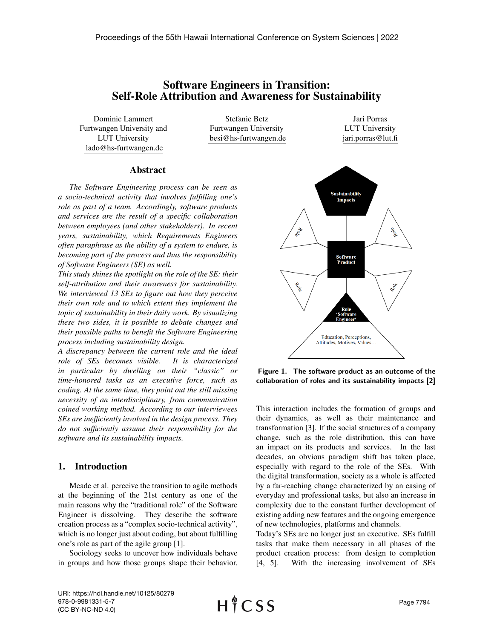# Software Engineers in Transition: Self-Role Attribution and Awareness for Sustainability

Dominic Lammert Furtwangen University and LUT University lado@hs-furtwangen.de

Stefanie Betz Furtwangen University besi@hs-furtwangen.de

Jari Porras LUT University jari.porras@lut.fi

#### Abstract

*The Software Engineering process can be seen as a socio-technical activity that involves fulfilling one's role as part of a team. Accordingly, software products and services are the result of a specific collaboration between employees (and other stakeholders). In recent years, sustainability, which Requirements Engineers often paraphrase as the ability of a system to endure, is becoming part of the process and thus the responsibility of Software Engineers (SE) as well.*

*This study shines the spotlight on the role of the SE: their self-attribution and their awareness for sustainability. We interviewed 13 SEs to figure out how they perceive their own role and to which extent they implement the topic of sustainability in their daily work. By visualizing these two sides, it is possible to debate changes and their possible paths to benefit the Software Engineering process including sustainability design.*

*A discrepancy between the current role and the ideal role of SEs becomes visible. It is characterized in particular by dwelling on their "classic" or time-honored tasks as an executive force, such as coding. At the same time, they point out the still missing necessity of an interdisciplinary, from communication coined working method. According to our interviewees SEs are inefficiently involved in the design process. They do not sufficiently assume their responsibility for the software and its sustainability impacts.*

#### 1. Introduction

Meade et al. perceive the transition to agile methods at the beginning of the 21st century as one of the main reasons why the "traditional role" of the Software Engineer is dissolving. They describe the software creation process as a "complex socio-technical activity", which is no longer just about coding, but about fulfilling one's role as part of the agile group [1].

Sociology seeks to uncover how individuals behave in groups and how those groups shape their behavior.



Figure 1. The software product as an outcome of the collaboration of roles and its sustainability impacts [2]

This interaction includes the formation of groups and their dynamics, as well as their maintenance and transformation [3]. If the social structures of a company change, such as the role distribution, this can have an impact on its products and services. In the last decades, an obvious paradigm shift has taken place, especially with regard to the role of the SEs. With the digital transformation, society as a whole is affected by a far-reaching change characterized by an easing of everyday and professional tasks, but also an increase in complexity due to the constant further development of existing adding new features and the ongoing emergence of new technologies, platforms and channels.

Today's SEs are no longer just an executive. SEs fulfill tasks that make them necessary in all phases of the product creation process: from design to completion [4, 5]. With the increasing involvement of SEs

URI: https://hdl.handle.net/10125/80279 978-0-9981331-5-7 (CC BY-NC-ND 4.0)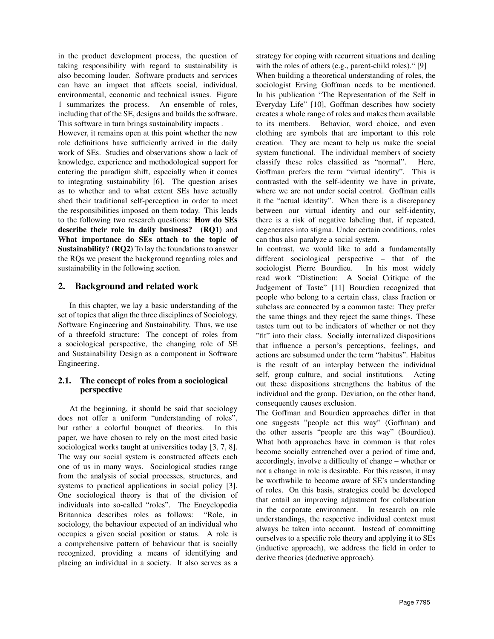in the product development process, the question of taking responsibility with regard to sustainability is also becoming louder. Software products and services can have an impact that affects social, individual, environmental, economic and technical issues. Figure 1 summarizes the process. An ensemble of roles, including that of the SE, designs and builds the software. This software in turn brings sustainability impacts .

However, it remains open at this point whether the new role definitions have sufficiently arrived in the daily work of SEs. Studies and observations show a lack of knowledge, experience and methodological support for entering the paradigm shift, especially when it comes to integrating sustainability [6]. The question arises as to whether and to what extent SEs have actually shed their traditional self-perception in order to meet the responsibilities imposed on them today. This leads to the following two research questions: How do SEs describe their role in daily business? (RQ1) and What importance do SEs attach to the topic of Sustainability? (RQ2) To lay the foundations to answer the RQs we present the background regarding roles and sustainability in the following section.

# 2. Background and related work

In this chapter, we lay a basic understanding of the set of topics that align the three disciplines of Sociology, Software Engineering and Sustainability. Thus, we use of a threefold structure: The concept of roles from a sociological perspective, the changing role of SE and Sustainability Design as a component in Software Engineering.

### 2.1. The concept of roles from a sociological perspective

At the beginning, it should be said that sociology does not offer a uniform "understanding of roles", but rather a colorful bouquet of theories. In this paper, we have chosen to rely on the most cited basic sociological works taught at universities today [3, 7, 8]. The way our social system is constructed affects each one of us in many ways. Sociological studies range from the analysis of social processes, structures, and systems to practical applications in social policy [3]. One sociological theory is that of the division of individuals into so-called "roles". The Encyclopedia Britannica describes roles as follows: "Role, in sociology, the behaviour expected of an individual who occupies a given social position or status. A role is a comprehensive pattern of behaviour that is socially recognized, providing a means of identifying and placing an individual in a society. It also serves as a strategy for coping with recurrent situations and dealing with the roles of others (e.g., parent-child roles)." [9]

When building a theoretical understanding of roles, the sociologist Erving Goffman needs to be mentioned. In his publication "The Representation of the Self in Everyday Life" [10], Goffman describes how society creates a whole range of roles and makes them available to its members. Behavior, word choice, and even clothing are symbols that are important to this role creation. They are meant to help us make the social system functional. The individual members of society classify these roles classified as "normal". Here, Goffman prefers the term "virtual identity". This is contrasted with the self-identity we have in private, where we are not under social control. Goffman calls it the "actual identity". When there is a discrepancy between our virtual identity and our self-identity, there is a risk of negative labeling that, if repeated, degenerates into stigma. Under certain conditions, roles can thus also paralyze a social system.

In contrast, we would like to add a fundamentally different sociological perspective – that of the sociologist Pierre Bourdieu. In his most widely read work "Distinction: A Social Critique of the Judgement of Taste" [11] Bourdieu recognized that people who belong to a certain class, class fraction or subclass are connected by a common taste: They prefer the same things and they reject the same things. These tastes turn out to be indicators of whether or not they "fit" into their class. Socially internalized dispositions that influence a person's perceptions, feelings, and actions are subsumed under the term "habitus". Habitus is the result of an interplay between the individual self, group culture, and social institutions. Acting out these dispositions strengthens the habitus of the individual and the group. Deviation, on the other hand, consequently causes exclusion.

The Goffman and Bourdieu approaches differ in that one suggests "people act this way" (Goffman) and the other asserts "people are this way" (Bourdieu). What both approaches have in common is that roles become socially entrenched over a period of time and, accordingly, involve a difficulty of change – whether or not a change in role is desirable. For this reason, it may be worthwhile to become aware of SE's understanding of roles. On this basis, strategies could be developed that entail an improving adjustment for collaboration in the corporate environment. In research on role understandings, the respective individual context must always be taken into account. Instead of committing ourselves to a specific role theory and applying it to SEs (inductive approach), we address the field in order to derive theories (deductive approach).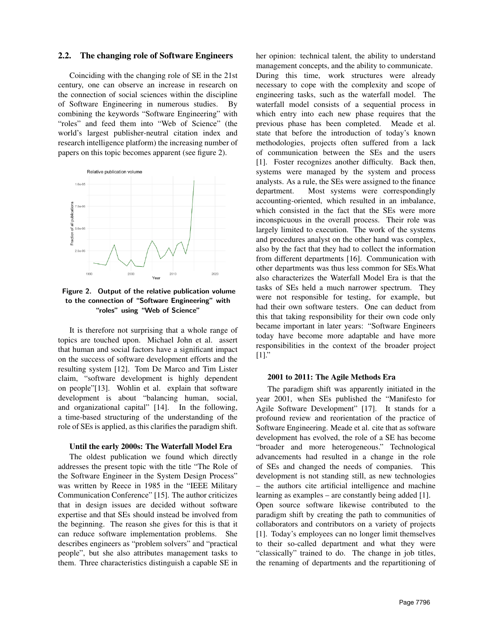#### 2.2. The changing role of Software Engineers

Coinciding with the changing role of SE in the 21st century, one can observe an increase in research on the connection of social sciences within the discipline of Software Engineering in numerous studies. By combining the keywords "Software Engineering" with "roles" and feed them into "Web of Science" (the world's largest publisher-neutral citation index and research intelligence platform) the increasing number of papers on this topic becomes apparent (see figure 2).



Figure 2. Output of the relative publication volume to the connection of "Software Engineering" with "roles" using "Web of Science"

It is therefore not surprising that a whole range of topics are touched upon. Michael John et al. assert that human and social factors have a significant impact on the success of software development efforts and the resulting system [12]. Tom De Marco and Tim Lister claim, "software development is highly dependent on people"[13]. Wohlin et al. explain that software development is about "balancing human, social, and organizational capital" [14]. In the following, a time-based structuring of the understanding of the role of SEs is applied, as this clarifies the paradigm shift.

#### Until the early 2000s: The Waterfall Model Era

The oldest publication we found which directly addresses the present topic with the title "The Role of the Software Engineer in the System Design Process" was written by Reece in 1985 in the "IEEE Military Communication Conference" [15]. The author criticizes that in design issues are decided without software expertise and that SEs should instead be involved from the beginning. The reason she gives for this is that it can reduce software implementation problems. She describes engineers as "problem solvers" and "practical people", but she also attributes management tasks to them. Three characteristics distinguish a capable SE in

her opinion: technical talent, the ability to understand management concepts, and the ability to communicate. During this time, work structures were already necessary to cope with the complexity and scope of engineering tasks, such as the waterfall model. The waterfall model consists of a sequential process in which entry into each new phase requires that the previous phase has been completed. Meade et al. state that before the introduction of today's known methodologies, projects often suffered from a lack of communication between the SEs and the users [1]. Foster recognizes another difficulty. Back then, systems were managed by the system and process analysts. As a rule, the SEs were assigned to the finance department. Most systems were correspondingly accounting-oriented, which resulted in an imbalance, which consisted in the fact that the SEs were more inconspicuous in the overall process. Their role was largely limited to execution. The work of the systems and procedures analyst on the other hand was complex, also by the fact that they had to collect the information from different departments [16]. Communication with other departments was thus less common for SEs.What also characterizes the Waterfall Model Era is that the tasks of SEs held a much narrower spectrum. They were not responsible for testing, for example, but had their own software testers. One can deduct from this that taking responsibility for their own code only became important in later years: "Software Engineers today have become more adaptable and have more responsibilities in the context of the broader project [1]."

#### 2001 to 2011: The Agile Methods Era

The paradigm shift was apparently initiated in the year 2001, when SEs published the "Manifesto for Agile Software Development" [17]. It stands for a profound review and reorientation of the practice of Software Engineering. Meade et al. cite that as software development has evolved, the role of a SE has become "broader and more heterogeneous." Technological advancements had resulted in a change in the role of SEs and changed the needs of companies. This development is not standing still, as new technologies – the authors cite artificial intelligence and machine learning as examples – are constantly being added [1]. Open source software likewise contributed to the paradigm shift by creating the path to communities of collaborators and contributors on a variety of projects [1]. Today's employees can no longer limit themselves to their so-called department and what they were "classically" trained to do. The change in job titles, the renaming of departments and the repartitioning of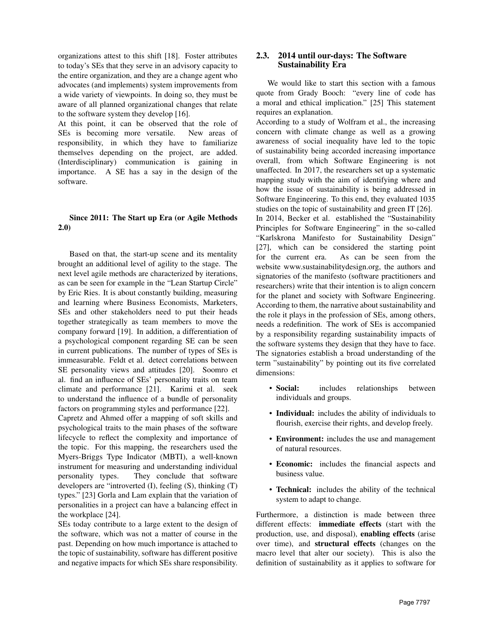organizations attest to this shift [18]. Foster attributes to today's SEs that they serve in an advisory capacity to the entire organization, and they are a change agent who advocates (and implements) system improvements from a wide variety of viewpoints. In doing so, they must be aware of all planned organizational changes that relate to the software system they develop [16].

At this point, it can be observed that the role of SEs is becoming more versatile. New areas of responsibility, in which they have to familiarize themselves depending on the project, are added. (Interdisciplinary) communication is gaining in importance. A SE has a say in the design of the software.

#### Since 2011: The Start up Era (or Agile Methods 2.0)

Based on that, the start-up scene and its mentality brought an additional level of agility to the stage. The next level agile methods are characterized by iterations, as can be seen for example in the "Lean Startup Circle" by Eric Ries. It is about constantly building, measuring and learning where Business Economists, Marketers, SEs and other stakeholders need to put their heads together strategically as team members to move the company forward [19]. In addition, a differentiation of a psychological component regarding SE can be seen in current publications. The number of types of SEs is immeasurable. Feldt et al. detect correlations between SE personality views and attitudes [20]. Soomro et al. find an influence of SEs' personality traits on team climate and performance [21]. Karimi et al. seek to understand the influence of a bundle of personality factors on programming styles and performance [22].

Capretz and Ahmed offer a mapping of soft skills and psychological traits to the main phases of the software lifecycle to reflect the complexity and importance of the topic. For this mapping, the researchers used the Myers-Briggs Type Indicator (MBTI), a well-known instrument for measuring and understanding individual personality types. They conclude that software developers are "introverted (I), feeling (S), thinking (T) types." [23] Gorla and Lam explain that the variation of personalities in a project can have a balancing effect in the workplace [24].

SEs today contribute to a large extent to the design of the software, which was not a matter of course in the past. Depending on how much importance is attached to the topic of sustainability, software has different positive and negative impacts for which SEs share responsibility.

## 2.3. 2014 until our-days: The Software Sustainability Era

We would like to start this section with a famous quote from Grady Booch: "every line of code has a moral and ethical implication." [25] This statement requires an explanation.

According to a study of Wolfram et al., the increasing concern with climate change as well as a growing awareness of social inequality have led to the topic of sustainability being accorded increasing importance overall, from which Software Engineering is not unaffected. In 2017, the researchers set up a systematic mapping study with the aim of identifying where and how the issue of sustainability is being addressed in Software Engineering. To this end, they evaluated 1035 studies on the topic of sustainability and green IT [26].

In 2014, Becker et al. established the "Sustainability Principles for Software Engineering" in the so-called "Karlskrona Manifesto for Sustainability Design" [27], which can be considered the starting point for the current era. As can be seen from the website www.sustainabilitydesign.org, the authors and signatories of the manifesto (software practitioners and researchers) write that their intention is to align concern for the planet and society with Software Engineering. According to them, the narrative about sustainability and the role it plays in the profession of SEs, among others, needs a redefinition. The work of SEs is accompanied by a responsibility regarding sustainability impacts of the software systems they design that they have to face. The signatories establish a broad understanding of the term "sustainability" by pointing out its five correlated dimensions:

- Social: includes relationships between individuals and groups.
- Individual: includes the ability of individuals to flourish, exercise their rights, and develop freely.
- Environment: includes the use and management of natural resources.
- Economic: includes the financial aspects and business value.
- Technical: includes the ability of the technical system to adapt to change.

Furthermore, a distinction is made between three different effects: immediate effects (start with the production, use, and disposal), enabling effects (arise over time), and structural effects (changes on the macro level that alter our society). This is also the definition of sustainability as it applies to software for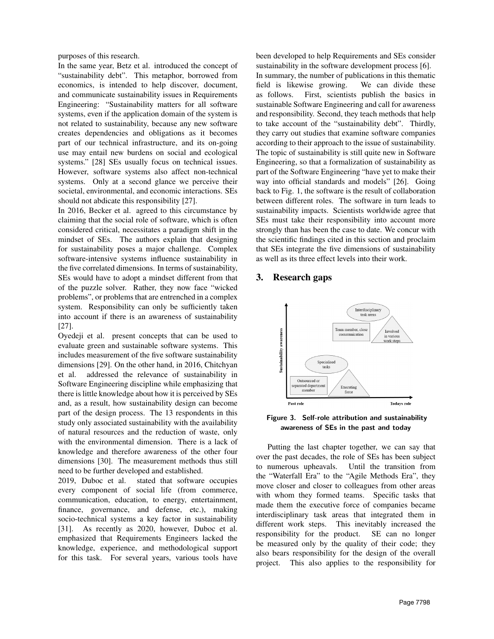purposes of this research.

In the same year, Betz et al. introduced the concept of "sustainability debt". This metaphor, borrowed from economics, is intended to help discover, document, and communicate sustainability issues in Requirements Engineering: "Sustainability matters for all software systems, even if the application domain of the system is not related to sustainability, because any new software creates dependencies and obligations as it becomes part of our technical infrastructure, and its on-going use may entail new burdens on social and ecological systems." [28] SEs usually focus on technical issues. However, software systems also affect non-technical systems. Only at a second glance we perceive their societal, environmental, and economic interactions. SEs should not abdicate this responsibility [27].

In 2016, Becker et al. agreed to this circumstance by claiming that the social role of software, which is often considered critical, necessitates a paradigm shift in the mindset of SEs. The authors explain that designing for sustainability poses a major challenge. Complex software-intensive systems influence sustainability in the five correlated dimensions. In terms of sustainability, SEs would have to adopt a mindset different from that of the puzzle solver. Rather, they now face "wicked problems", or problems that are entrenched in a complex system. Responsibility can only be sufficiently taken into account if there is an awareness of sustainability [27].

Oyedeji et al. present concepts that can be used to evaluate green and sustainable software systems. This includes measurement of the five software sustainability dimensions [29]. On the other hand, in 2016, Chitchyan et al. addressed the relevance of sustainability in Software Engineering discipline while emphasizing that there is little knowledge about how it is perceived by SEs and, as a result, how sustainability design can become part of the design process. The 13 respondents in this study only associated sustainability with the availability of natural resources and the reduction of waste, only with the environmental dimension. There is a lack of knowledge and therefore awareness of the other four dimensions [30]. The measurement methods thus still need to be further developed and established.

2019, Duboc et al. stated that software occupies every component of social life (from commerce, communication, education, to energy, entertainment, finance, governance, and defense, etc.), making socio-technical systems a key factor in sustainability [31]. As recently as 2020, however, Duboc et al. emphasized that Requirements Engineers lacked the knowledge, experience, and methodological support for this task. For several years, various tools have

been developed to help Requirements and SEs consider sustainability in the software development process [6].

In summary, the number of publications in this thematic field is likewise growing. We can divide these as follows. First, scientists publish the basics in sustainable Software Engineering and call for awareness and responsibility. Second, they teach methods that help to take account of the "sustainability debt". Thirdly, they carry out studies that examine software companies according to their approach to the issue of sustainability. The topic of sustainability is still quite new in Software Engineering, so that a formalization of sustainability as part of the Software Engineering "have yet to make their way into official standards and models" [26]. Going back to Fig. 1, the software is the result of collaboration between different roles. The software in turn leads to sustainability impacts. Scientists worldwide agree that SEs must take their responsibility into account more strongly than has been the case to date. We concur with the scientific findings cited in this section and proclaim that SEs integrate the five dimensions of sustainability as well as its three effect levels into their work.

## 3. Research gaps



Figure 3. Self-role attribution and sustainability awareness of SEs in the past and today

Putting the last chapter together, we can say that over the past decades, the role of SEs has been subject to numerous upheavals. Until the transition from the "Waterfall Era" to the "Agile Methods Era", they move closer and closer to colleagues from other areas with whom they formed teams. Specific tasks that made them the executive force of companies became interdisciplinary task areas that integrated them in different work steps. This inevitably increased the responsibility for the product. SE can no longer be measured only by the quality of their code; they also bears responsibility for the design of the overall project. This also applies to the responsibility for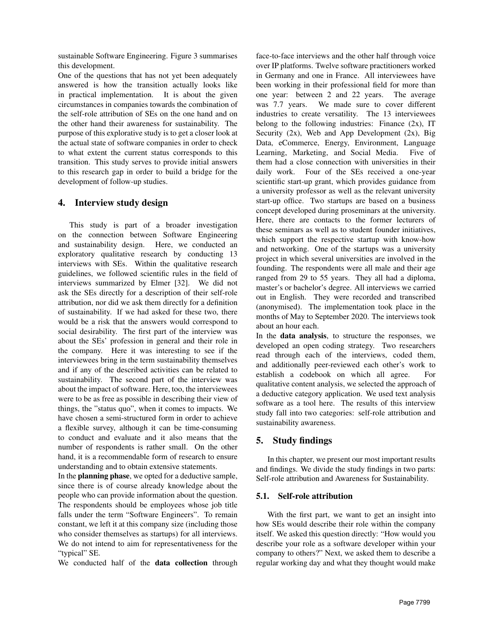sustainable Software Engineering. Figure 3 summarises this development.

One of the questions that has not yet been adequately answered is how the transition actually looks like in practical implementation. It is about the given circumstances in companies towards the combination of the self-role attribution of SEs on the one hand and on the other hand their awareness for sustainability. The purpose of this explorative study is to get a closer look at the actual state of software companies in order to check to what extent the current status corresponds to this transition. This study serves to provide initial answers to this research gap in order to build a bridge for the development of follow-up studies.

# 4. Interview study design

This study is part of a broader investigation on the connection between Software Engineering and sustainability design. Here, we conducted an exploratory qualitative research by conducting 13 interviews with SEs. Within the qualitative research guidelines, we followed scientific rules in the field of interviews summarized by Elmer [32]. We did not ask the SEs directly for a description of their self-role attribution, nor did we ask them directly for a definition of sustainability. If we had asked for these two, there would be a risk that the answers would correspond to social desirability. The first part of the interview was about the SEs' profession in general and their role in the company. Here it was interesting to see if the interviewees bring in the term sustainability themselves and if any of the described activities can be related to sustainability. The second part of the interview was about the impact of software. Here, too, the interviewees were to be as free as possible in describing their view of things, the "status quo", when it comes to impacts. We have chosen a semi-structured form in order to achieve a flexible survey, although it can be time-consuming to conduct and evaluate and it also means that the number of respondents is rather small. On the other hand, it is a recommendable form of research to ensure understanding and to obtain extensive statements.

In the planning phase, we opted for a deductive sample, since there is of course already knowledge about the people who can provide information about the question. The respondents should be employees whose job title falls under the term "Software Engineers". To remain constant, we left it at this company size (including those who consider themselves as startups) for all interviews. We do not intend to aim for representativeness for the "typical" SE.

We conducted half of the **data collection** through

face-to-face interviews and the other half through voice over IP platforms. Twelve software practitioners worked in Germany and one in France. All interviewees have been working in their professional field for more than one year: between 2 and 22 years. The average was 7.7 years. We made sure to cover different industries to create versatility. The 13 interviewees belong to the following industries: Finance  $(2x)$ , IT Security (2x), Web and App Development (2x), Big Data, eCommerce, Energy, Environment, Language Learning, Marketing, and Social Media. Five of them had a close connection with universities in their daily work. Four of the SEs received a one-year scientific start-up grant, which provides guidance from a university professor as well as the relevant university start-up office. Two startups are based on a business concept developed during proseminars at the university. Here, there are contacts to the former lecturers of these seminars as well as to student founder initiatives, which support the respective startup with know-how and networking. One of the startups was a university project in which several universities are involved in the founding. The respondents were all male and their age ranged from 29 to 55 years. They all had a diploma, master's or bachelor's degree. All interviews we carried out in English. They were recorded and transcribed (anonymised). The implementation took place in the months of May to September 2020. The interviews took about an hour each.

In the data analysis, to structure the responses, we developed an open coding strategy. Two researchers read through each of the interviews, coded them, and additionally peer-reviewed each other's work to establish a codebook on which all agree. For qualitative content analysis, we selected the approach of a deductive category application. We used text analysis software as a tool here. The results of this interview study fall into two categories: self-role attribution and sustainability awareness.

### 5. Study findings

In this chapter, we present our most important results and findings. We divide the study findings in two parts: Self-role attribution and Awareness for Sustainability.

#### 5.1. Self-role attribution

With the first part, we want to get an insight into how SEs would describe their role within the company itself. We asked this question directly: "How would you describe your role as a software developer within your company to others?" Next, we asked them to describe a regular working day and what they thought would make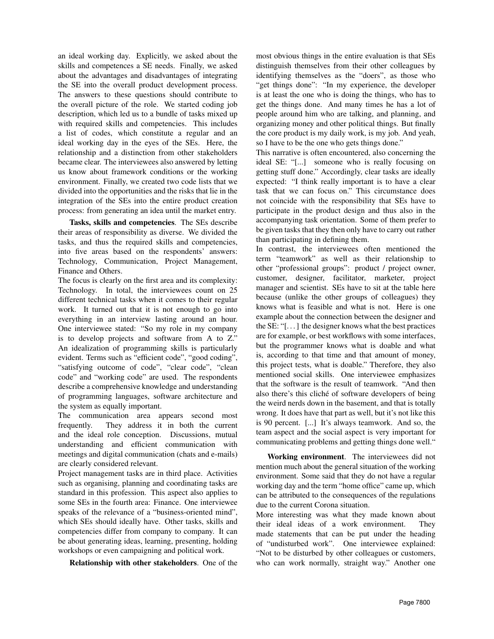an ideal working day. Explicitly, we asked about the skills and competences a SE needs. Finally, we asked about the advantages and disadvantages of integrating the SE into the overall product development process. The answers to these questions should contribute to the overall picture of the role. We started coding job description, which led us to a bundle of tasks mixed up with required skills and competencies. This includes a list of codes, which constitute a regular and an ideal working day in the eyes of the SEs. Here, the relationship and a distinction from other stakeholders became clear. The interviewees also answered by letting us know about framework conditions or the working environment. Finally, we created two code lists that we divided into the opportunities and the risks that lie in the integration of the SEs into the entire product creation process: from generating an idea until the market entry.

Tasks, skills and competencies. The SEs describe their areas of responsibility as diverse. We divided the tasks, and thus the required skills and competencies, into five areas based on the respondents' answers: Technology, Communication, Project Management, Finance and Others.

The focus is clearly on the first area and its complexity: Technology. In total, the interviewees count on 25 different technical tasks when it comes to their regular work. It turned out that it is not enough to go into everything in an interview lasting around an hour. One interviewee stated: "So my role in my company is to develop projects and software from A to Z." An idealization of programming skills is particularly evident. Terms such as "efficient code", "good coding", "satisfying outcome of code", "clear code", "clean code" and "working code" are used. The respondents describe a comprehensive knowledge and understanding of programming languages, software architecture and the system as equally important.

The communication area appears second most frequently. They address it in both the current and the ideal role conception. Discussions, mutual understanding and efficient communication with meetings and digital communication (chats and e-mails) are clearly considered relevant.

Project management tasks are in third place. Activities such as organising, planning and coordinating tasks are standard in this profession. This aspect also applies to some SEs in the fourth area: Finance. One interviewee speaks of the relevance of a "business-oriented mind", which SEs should ideally have. Other tasks, skills and competencies differ from company to company. It can be about generating ideas, learning, presenting, holding workshops or even campaigning and political work.

Relationship with other stakeholders. One of the

most obvious things in the entire evaluation is that SEs distinguish themselves from their other colleagues by identifying themselves as the "doers", as those who "get things done": "In my experience, the developer is at least the one who is doing the things, who has to get the things done. And many times he has a lot of people around him who are talking, and planning, and organizing money and other political things. But finally the core product is my daily work, is my job. And yeah, so I have to be the one who gets things done."

This narrative is often encountered, also concerning the ideal SE: "[...] someone who is really focusing on getting stuff done." Accordingly, clear tasks are ideally expected: "I think really important is to have a clear task that we can focus on." This circumstance does not coincide with the responsibility that SEs have to participate in the product design and thus also in the accompanying task orientation. Some of them prefer to be given tasks that they then only have to carry out rather than participating in defining them.

In contrast, the interviewees often mentioned the term "teamwork" as well as their relationship to other "professional groups": product / project owner, customer, designer, facilitator, marketer, project manager and scientist. SEs have to sit at the table here because (unlike the other groups of colleagues) they knows what is feasible and what is not. Here is one example about the connection between the designer and the SE: "[. . . ] the designer knows what the best practices are for example, or best workflows with some interfaces, but the programmer knows what is doable and what is, according to that time and that amount of money, this project tests, what is doable." Therefore, they also mentioned social skills. One interviewee emphasizes that the software is the result of teamwork. "And then also there's this cliché of software developers of being the weird nerds down in the basement, and that is totally wrong. It does have that part as well, but it's not like this is 90 percent. [...] It's always teamwork. And so, the team aspect and the social aspect is very important for communicating problems and getting things done well."

Working environment. The interviewees did not mention much about the general situation of the working environment. Some said that they do not have a regular working day and the term "home office" came up, which can be attributed to the consequences of the regulations due to the current Corona situation.

More interesting was what they made known about their ideal ideas of a work environment. They made statements that can be put under the heading of "undisturbed work". One interviewee explained: "Not to be disturbed by other colleagues or customers, who can work normally, straight way." Another one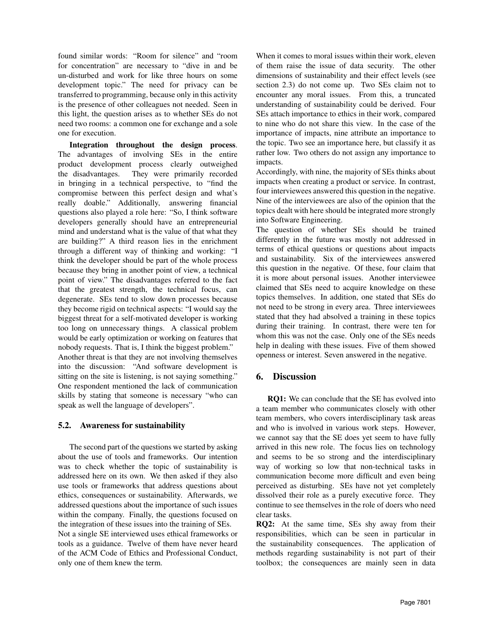found similar words: "Room for silence" and "room for concentration" are necessary to "dive in and be un-disturbed and work for like three hours on some development topic." The need for privacy can be transferred to programming, because only in this activity is the presence of other colleagues not needed. Seen in this light, the question arises as to whether SEs do not need two rooms: a common one for exchange and a sole one for execution.

Integration throughout the design process. The advantages of involving SEs in the entire product development process clearly outweighed the disadvantages. They were primarily recorded in bringing in a technical perspective, to "find the compromise between this perfect design and what's really doable." Additionally, answering financial questions also played a role here: "So, I think software developers generally should have an entrepreneurial mind and understand what is the value of that what they are building?" A third reason lies in the enrichment through a different way of thinking and working: "I think the developer should be part of the whole process because they bring in another point of view, a technical point of view." The disadvantages referred to the fact that the greatest strength, the technical focus, can degenerate. SEs tend to slow down processes because they become rigid on technical aspects: "I would say the biggest threat for a self-motivated developer is working too long on unnecessary things. A classical problem would be early optimization or working on features that nobody requests. That is, I think the biggest problem." Another threat is that they are not involving themselves into the discussion: "And software development is sitting on the site is listening, is not saying something." One respondent mentioned the lack of communication

# 5.2. Awareness for sustainability

speak as well the language of developers".

The second part of the questions we started by asking about the use of tools and frameworks. Our intention was to check whether the topic of sustainability is addressed here on its own. We then asked if they also use tools or frameworks that address questions about ethics, consequences or sustainability. Afterwards, we addressed questions about the importance of such issues within the company. Finally, the questions focused on the integration of these issues into the training of SEs. Not a single SE interviewed uses ethical frameworks or tools as a guidance. Twelve of them have never heard of the ACM Code of Ethics and Professional Conduct, only one of them knew the term.

skills by stating that someone is necessary "who can

When it comes to moral issues within their work, eleven of them raise the issue of data security. The other dimensions of sustainability and their effect levels (see section 2.3) do not come up. Two SEs claim not to encounter any moral issues. From this, a truncated understanding of sustainability could be derived. Four SEs attach importance to ethics in their work, compared to nine who do not share this view. In the case of the importance of impacts, nine attribute an importance to the topic. Two see an importance here, but classify it as rather low. Two others do not assign any importance to impacts.

Accordingly, with nine, the majority of SEs thinks about impacts when creating a product or service. In contrast, four interviewees answered this question in the negative. Nine of the interviewees are also of the opinion that the topics dealt with here should be integrated more strongly into Software Engineering.

The question of whether SEs should be trained differently in the future was mostly not addressed in terms of ethical questions or questions about impacts and sustainability. Six of the interviewees answered this question in the negative. Of these, four claim that it is more about personal issues. Another interviewee claimed that SEs need to acquire knowledge on these topics themselves. In addition, one stated that SEs do not need to be strong in every area. Three interviewees stated that they had absolved a training in these topics during their training. In contrast, there were ten for whom this was not the case. Only one of the SEs needs help in dealing with these issues. Five of them showed openness or interest. Seven answered in the negative.

### 6. Discussion

RQ1: We can conclude that the SE has evolved into a team member who communicates closely with other team members, who covers interdisciplinary task areas and who is involved in various work steps. However, we cannot say that the SE does yet seem to have fully arrived in this new role. The focus lies on technology and seems to be so strong and the interdisciplinary way of working so low that non-technical tasks in communication become more difficult and even being perceived as disturbing. SEs have not yet completely dissolved their role as a purely executive force. They continue to see themselves in the role of doers who need clear tasks.

RQ2: At the same time, SEs shy away from their responsibilities, which can be seen in particular in the sustainability consequences. The application of methods regarding sustainability is not part of their toolbox; the consequences are mainly seen in data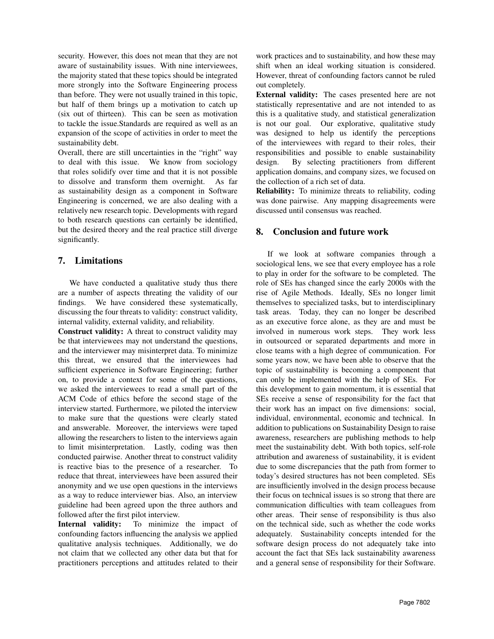security. However, this does not mean that they are not aware of sustainability issues. With nine interviewees, the majority stated that these topics should be integrated more strongly into the Software Engineering process than before. They were not usually trained in this topic, but half of them brings up a motivation to catch up (six out of thirteen). This can be seen as motivation to tackle the issue.Standards are required as well as an expansion of the scope of activities in order to meet the sustainability debt.

Overall, there are still uncertainties in the "right" way to deal with this issue. We know from sociology that roles solidify over time and that it is not possible to dissolve and transform them overnight. As far as sustainability design as a component in Software Engineering is concerned, we are also dealing with a relatively new research topic. Developments with regard to both research questions can certainly be identified, but the desired theory and the real practice still diverge significantly.

# 7. Limitations

We have conducted a qualitative study thus there are a number of aspects threating the validity of our findings. We have considered these systematically, discussing the four threats to validity: construct validity, internal validity, external validity, and reliability.

Construct validity: A threat to construct validity may be that interviewees may not understand the questions, and the interviewer may misinterpret data. To minimize this threat, we ensured that the interviewees had sufficient experience in Software Engineering; further on, to provide a context for some of the questions, we asked the interviewees to read a small part of the ACM Code of ethics before the second stage of the interview started. Furthermore, we piloted the interview to make sure that the questions were clearly stated and answerable. Moreover, the interviews were taped allowing the researchers to listen to the interviews again to limit misinterpretation. Lastly, coding was then conducted pairwise. Another threat to construct validity is reactive bias to the presence of a researcher. To reduce that threat, interviewees have been assured their anonymity and we use open questions in the interviews as a way to reduce interviewer bias. Also, an interview guideline had been agreed upon the three authors and followed after the first pilot interview.

Internal validity: To minimize the impact of confounding factors influencing the analysis we applied qualitative analysis techniques. Additionally, we do not claim that we collected any other data but that for practitioners perceptions and attitudes related to their work practices and to sustainability, and how these may shift when an ideal working situation is considered. However, threat of confounding factors cannot be ruled out completely.

External validity: The cases presented here are not statistically representative and are not intended to as this is a qualitative study, and statistical generalization is not our goal. Our explorative, qualitative study was designed to help us identify the perceptions of the interviewees with regard to their roles, their responsibilities and possible to enable sustainability design. By selecting practitioners from different application domains, and company sizes, we focused on the collection of a rich set of data.

Reliability: To minimize threats to reliability, coding was done pairwise. Any mapping disagreements were discussed until consensus was reached.

# 8. Conclusion and future work

If we look at software companies through a sociological lens, we see that every employee has a role to play in order for the software to be completed. The role of SEs has changed since the early 2000s with the rise of Agile Methods. Ideally, SEs no longer limit themselves to specialized tasks, but to interdisciplinary task areas. Today, they can no longer be described as an executive force alone, as they are and must be involved in numerous work steps. They work less in outsourced or separated departments and more in close teams with a high degree of communication. For some years now, we have been able to observe that the topic of sustainability is becoming a component that can only be implemented with the help of SEs. For this development to gain momentum, it is essential that SEs receive a sense of responsibility for the fact that their work has an impact on five dimensions: social, individual, environmental, economic and technical. In addition to publications on Sustainability Design to raise awareness, researchers are publishing methods to help meet the sustainability debt. With both topics, self-role attribution and awareness of sustainability, it is evident due to some discrepancies that the path from former to today's desired structures has not been completed. SEs are insufficiently involved in the design process because their focus on technical issues is so strong that there are communication difficulties with team colleagues from other areas. Their sense of responsibility is thus also on the technical side, such as whether the code works adequately. Sustainability concepts intended for the software design process do not adequately take into account the fact that SEs lack sustainability awareness and a general sense of responsibility for their Software.